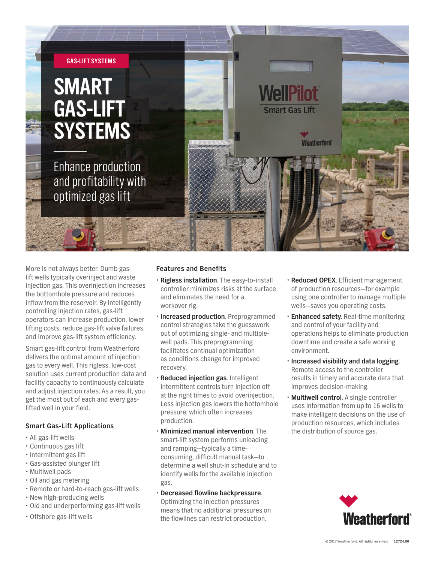

More is not always better. Dumb gaslift wells typically overinject and waste injection gas. This overinjection increases the bottomhole pressure and reduces inflow from the reservoir. By intelligently controlling injection rates, gas-lift operators can increase production, lower lifting costs, reduce gas-lift valve failures, and improve gas-lift system efficiency.

Smart gas-lift control from Weatherford delivers the optimal amount of injection gas to every well. This rigless, low-cost solution uses current production data and facility capacity to continuously calculate and adjust injection rates. As a result, you get the most out of each and every gaslifted well in your field.

## **Smart Gas-Lift Applications**

- All gas-lift wells
- x Continuous gas lift
- Intermittent gas lift
- x Gas-assisted plunger lift
- Multiwell pads
- Oil and gas metering
- Remote or hard-to-reach gas-lift wells
- New high-producing wells
- x Old and underperforming gas-lift wells
- Offshore gas-lift wells

### **Features and Benefits**

- x **Rigless installation**. The easy-to-install controller minimizes risks at the surface and eliminates the need for a workover rig.
- **· Increased production**. Preprogrammed control strategies take the guesswork out of optimizing single- and multiplewell pads. This preprogramming facilitates continual optimization as conditions change for improved recovery.
- x **Reduced injection gas**. Intelligent intermittent controls turn injection off at the right times to avoid overinjection. Less injection gas lowers the bottomhole pressure, which often increases production.
- **· Minimized manual intervention.** The smart-lift system performs unloading and ramping—typically a timeconsuming, difficult manual task—to determine a well shut-in schedule and to identify wells for the available injection gas.
- x **Decreased flowline backpressure**.

Optimizing the injection pressures means that no additional pressures on the flowlines can restrict production.

- x **Reduced OPEX**. Efficient management of production resources—for example using one controller to manage multiple wells—saves you operating costs.
- **Enhanced safety.** Real-time monitoring and control of your facility and operations helps to eliminate production downtime and create a safe working environment.
- x **Increased visibility and data logging**. Remote access to the controller results in timely and accurate data that improves decision-making.
- **· Multiwell control**. A single controller uses information from up to 16 wells to make intelligent decisions on the use of production resources, which includes the distribution of source gas.